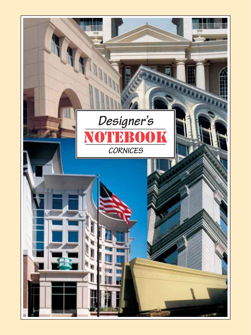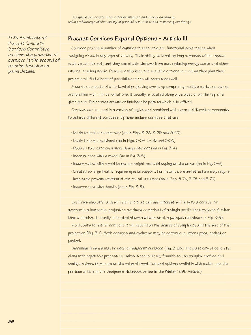*Services Committee outlines the potential of cornices in the second of a series focusing on panel details.*

# *PCI's Architectural* **Precast Cornices Expand Options - Article III** *Precast Concrete*

Cornices provide a number of significant aesthetic and functional advantages when designing virtually any type of building. Their ability to break up long expanses of the façade adds visual interest, and they can shade windows from sun, reducing energy costs and other internal shading needs. Designers who keep the available options in mind as they plan their projects will find a host of possibilities that will serve them well.

A cornice consists of a horizontal projecting overhang comprising multiple surfaces, planes and profiles with infinite variations. It usually is located along a parapet or at the top of a given plane. The cornice crowns or finishes the part to which it is affixed.

Cornices can be used in a variety of styles and combined with several different components to achieve different purposes. Options include cornices that are:

- ˙ Made to look contemporary (as in Figs. 3-2A, 3-2B and 3-2C).
- ˙ Made to look traditional (as in Figs. 3-3A, 3-3B and 3-3C).
- ˙ Doubled to create even more design interest (as in Fig. 3-4).
- ˙  $\cdot$  Incorporated with a reveal (as in Fig. 3-5).
- ˙ Incorporated with a void to reduce weight and add coping on the crown (as in Fig. 3-6).
- ˙  $\cdot$  Created so large that it requires special support. For instance, a steel structure may require bracing to prevent rotation of structural members (as in Figs. 3-7A, 3-7B and 3-7C).
- ˙  $\cdot$  Incorporated with dentils (as in Fig. 3-8).

Eyebrows also offer a design element that can add interest similarly to a cornice. An eyebrow is a horizontal projecting overhang comprised of a single profile that projects further than a cornice. It usually is located above a window or at a parapet (as shown in Fig. 3-9).

Mold costs for either component will depend on the degree of complexity and the size of the projection (Fig. 3-1). Both cornices and eyebrows may be continuous, interrupted, arched or peaked.

Dissimilar finishes may be used on adjacent surfaces (Fig. 3-2B). The plasticity of concrete along with repetitive precasting makes it economically feasible to use complex profiles and configurations. (For more on the value of repetition and options available with molds, see the previous article in the Designer's Notebook series in the Winter 1998 ASCENT.)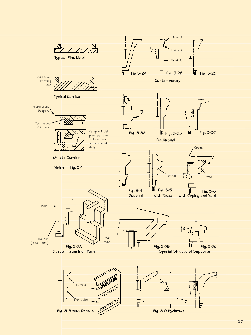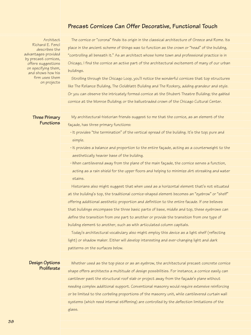# **Precast Cornices Can Offer Decorative, Functional Touch**

Architect Richard E. Fencl describes the advantages provided by precast cornices, offers suggestions on specifying them, and shows how his firm uses them on projects

The cornice or "corona" finds its origin in the classical architecture of Greece and Rome. Its place in the ancient scheme of things was to function as the crown or "head" of the building, "controlling all beneath it." As an architect whose home town and professional practice is in Chicago, I find the cornice an active part of the architectural excitement of many of our urban buildings.

Strolling through the Chicago Loop, you'll notice the wonderful cornices that top structures like The Reliance Building, The Goldblatt Building and The Rookery, adding grandeur and style. Or you can observe the intricately formed cornice at the Shubert Theatre Building; the gabled cornice at the Monroe Building; or the ballustraded crown of the Chicago Cultural Center.

**Three Primary Functions**

My architectural-historian friends suggest to me that the cornice, as an element of the façade, has three primary functions:

˙ It provides "the termination" of the vertical spread of the building. It's the top; pure and simple.

˙ It provides a balance and proportion to the entire façade, acting as a counterweight to the aesthetically heavier base of the building.

˙ When cantilevered away from the plane of the main façade, the cornice serves a function, acting as a rain shield for the upper floors and helping to minimize dirt streaking and water stains.

Historians also might suggest that when used as a horizontal element that's not situated at the building's top, the traditional cornice-shaped element becomes an "eyebrow" or "shelf" offering additional aesthetic proportion and definition to the entire facade. If one believes that buildings encompass the three basic parts of base, middle and top, these eyebrows can define the transition from one part to another or provide the transition from one type of building element to another, such as with articulated column capitals.

Today's architectural vocabulary also might employ this device as a light shelf (reflecting light) or shadow maker. Either will develop interesting and ever-changing light and dark patterns on the surfaces below.

## **Design Options Proliferate**

Whether used as the top piece or as an eyebrow, the architectural precast concrete cornice shape offers architects a multitude of design possibilities. For instance, a cornice easily can cantilever past the structural roof slab or project away from the façade's plane without needing complex additional support. Conventional masonry would require extensive reinforcing or be limited to the corbeling proportions of the masonry unit, while cantilevered curtain wall systems (which need internal stiffening) are controlled by the deflection limitations of the glass.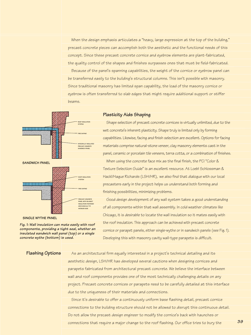When the design emphasis articulates a "heavy, large expression at the top of the building," precast concrete pieces can accomplish both the aesthetic and the functional needs of this concept. Since these precast concrete cornice and eyebrow elements are plant-fabricated, the quality control of the shapes and finishes surpasses ones that must be field-fabricated.

Because of the panel's spanning capabilities, the weight of the cornice or eyebrow panel can be transferred easily to the building's structural columns. This isn't possible with masonry. Since traditional masonry has limited span capability, the load of the masonry cornice or eyebrow is often transferred to slab edges that might require additional support or stiffer beams.



*Fig. 1: Wall insulation can mate easily with roof components, providing a tight seal, whether an insulated sandwich wall panel (top) or a single concrete wythe (bottom) is used.*

#### **Plasticity Aids Shaping**

Shape selection of precast concrete cornices is virtually unlimited, due to the wet concrete's inherent plasticity. Shape truly is limited only by forming capabilities. Likewise, facing and finish selection are excellent. Options for facing materials comprise natural-stone veneer, clay masonry elements cast in the panel, ceramic or porcelain tile veneers, terra cotta, or a combination of finishes. When using the concrete face mix as the final finish, the PCI "Color & Texture Selection Guide" is an excellent resource. At Loebl Schlossman & Hackl/Hague Richards (LSH/HR), we also find that dialogue with our local precasters early in the project helps us understand both forming and finishing possibilities, minimizing problems.

Good design development of any wall system takes a good understanding of all components within that wall assembly. In cold weather climates like Chicago, it is desirable to locate the wall insulation so it mates easily with the roof insulation. This approach can be achieved with precast concrete cornice or parapet panels, either single-wythe or in sandwich panels (see Fig. 1). Developing this with masonry cavity wall-type parapets is difficult.

## **Flashing Options**

As an architectural firm equally interested in a project's technical detailing and its aesthetic design, LSH/HR has developed several cautions when designing cornices and parapets fabricated from architectural precast concrete. We believe the interface between wall and roof components provides one of the most technically challenging details on any project. Precast concrete cornices or parapets need to be carefully detailed at this interface due to the uniqueness of their materials and connections.

Since it's desirable to offer a continuously uniform base flashing detail, precast cornice connections to the building structure should not be allowed to disrupt this continuous detail. Do not allow the precast design engineer to modify the cornice's back with haunches or connections that require a major change to the roof flashing. Our office tries to bury the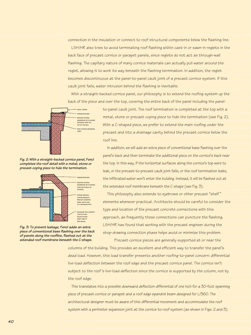connection in the insulation or connect to roof structural components below the flashing line.

LSH/HR also tries to avoid terminating roof flashing within cast-in or sawn-in reglets in the back face of precast cornice or parapet panels, since reglets do not act as through-wall flashing. The capillary nature of many cornice materials can actually pull water around the reglet, allowing it to work its way beneath the flashing termination. In addition, the reglet becomes discontinuous at the panel-to-panel caulk joint of a precast cornice system. If this caulk joint fails, water intrusion behind the flashing is inevitable.

With a straight-backed cornice panel, our philosophy is to extend the roofing system up the back of the piece and over the top, covering the entire back of the panel including the panel-



to-panel caulk joint. The roof termination is completed at the top with a metal, stone or precast coping piece to hide the termination (see Fig. 2). With a C-shaped piece, we prefer to extend the main roofing under the precast and into a drainage cavity behind the precast cornice below the roof line.

In addition, we will add an extra piece of conventional base flashing over the panel's back and then terminate the additional piece on the cornice's back near the top. In this way, if the horizontal surfaces along the cornice's top were to leak, or the precast-to-precast caulk joint fails, or the roof termination leaks, the infiltrated water won't enter the building. Instead, it will be flashed out at the extended roof membrane beneath the C-shape (see Fig. 3).

This philosophy also extends to eyebrows or other precast "shelf " elements whenever practical. Architects should be careful to consider the type and location of the precast concrete connections with this approach, as frequently these connections can puncture the flashing. LSH/HR has found that working with the precast engineer during the shop-drawing connection phase helps avoid or minimize this problem. Precast cornice pieces are generally supported at or near the

columns of the building. This provides an excellent and efficient way to transfer the panel's dead load. However, this load transfer presents another roofing-to-panel concern: differential live-load deflection between the roof edge and the precast cornice panel. The cornice isn't subject to the roof 's live-load deflection since the cornice is supported by the column, not by the roof edge.

This translates into a possible downward deflection differential of one inch for a 30-foot spanning piece of precast cornice or parapet and a roof edge spandrel beam designed for L/360. The architectural designer must be aware of this differential movement and accommodate the roof system with a perimeter expansion joint at the cornice-to-roof system (as shown in Figs. 2 and 3).

-*Fig. 2: With a straight-backed cornice panel, Fencl completes the roof detail with a metal, stone or precast coping piece to hide the termination.* 



*Fig. 3: To prevent leakage, Fencl adds an extra piece of conventional base flashing over the back of panels along the roofline, flashed out at the extended roof membrane beneath the C-shape.*